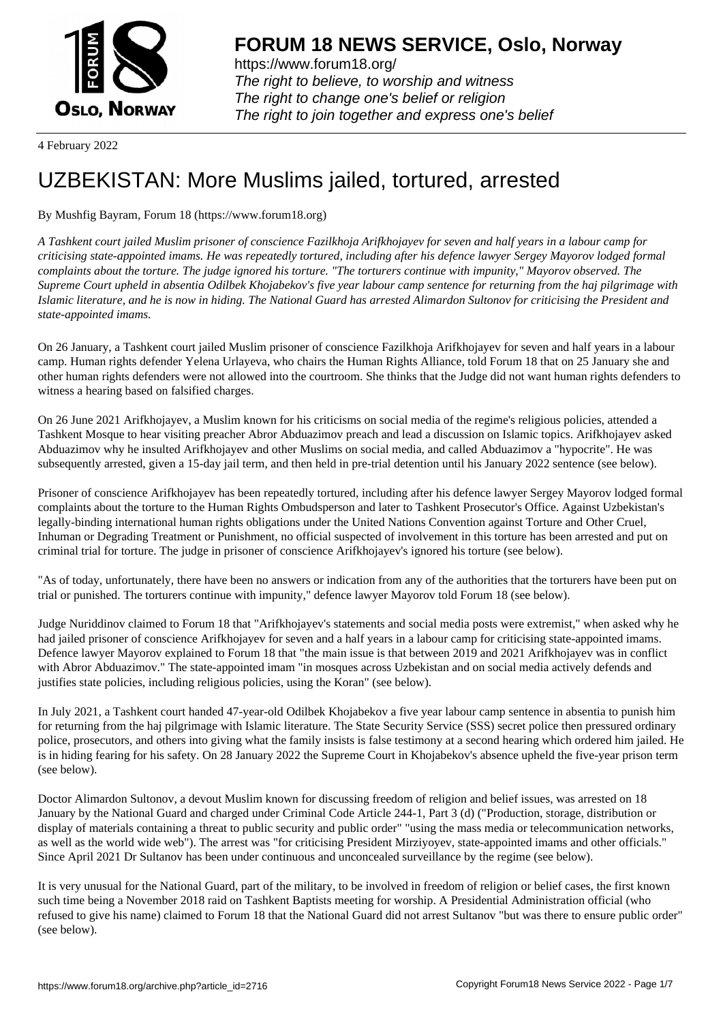

https://www.forum18.org/ The right to believe, to worship and witness The right to change one's belief or religion [The right to join together a](https://www.forum18.org/)nd express one's belief

4 February 2022

## [UZBEKISTAN:](https://www.forum18.org) More Muslims jailed, tortured, arrested

## By Mushfig Bayram, Forum 18 (https://www.forum18.org)

*A Tashkent court jailed Muslim prisoner of conscience Fazilkhoja Arifkhojayev for seven and half years in a labour camp for criticising state-appointed imams. He was repeatedly tortured, including after his defence lawyer Sergey Mayorov lodged formal complaints about the torture. The judge ignored his torture. "The torturers continue with impunity," Mayorov observed. The Supreme Court upheld in absentia Odilbek Khojabekov's five year labour camp sentence for returning from the haj pilgrimage with Islamic literature, and he is now in hiding. The National Guard has arrested Alimardon Sultonov for criticising the President and state-appointed imams.*

On 26 January, a Tashkent court jailed Muslim prisoner of conscience Fazilkhoja Arifkhojayev for seven and half years in a labour camp. Human rights defender Yelena Urlayeva, who chairs the Human Rights Alliance, told Forum 18 that on 25 January she and other human rights defenders were not allowed into the courtroom. She thinks that the Judge did not want human rights defenders to witness a hearing based on falsified charges.

On 26 June 2021 Arifkhojayev, a Muslim known for his criticisms on social media of the regime's religious policies, attended a Tashkent Mosque to hear visiting preacher Abror Abduazimov preach and lead a discussion on Islamic topics. Arifkhojayev asked Abduazimov why he insulted Arifkhojayev and other Muslims on social media, and called Abduazimov a "hypocrite". He was subsequently arrested, given a 15-day jail term, and then held in pre-trial detention until his January 2022 sentence (see below).

Prisoner of conscience Arifkhojayev has been repeatedly tortured, including after his defence lawyer Sergey Mayorov lodged formal complaints about the torture to the Human Rights Ombudsperson and later to Tashkent Prosecutor's Office. Against Uzbekistan's legally-binding international human rights obligations under the United Nations Convention against Torture and Other Cruel, Inhuman or Degrading Treatment or Punishment, no official suspected of involvement in this torture has been arrested and put on criminal trial for torture. The judge in prisoner of conscience Arifkhojayev's ignored his torture (see below).

"As of today, unfortunately, there have been no answers or indication from any of the authorities that the torturers have been put on trial or punished. The torturers continue with impunity," defence lawyer Mayorov told Forum 18 (see below).

Judge Nuriddinov claimed to Forum 18 that "Arifkhojayev's statements and social media posts were extremist," when asked why he had jailed prisoner of conscience Arifkhojayev for seven and a half years in a labour camp for criticising state-appointed imams. Defence lawyer Mayorov explained to Forum 18 that "the main issue is that between 2019 and 2021 Arifkhojayev was in conflict with Abror Abduazimov." The state-appointed imam "in mosques across Uzbekistan and on social media actively defends and justifies state policies, including religious policies, using the Koran" (see below).

In July 2021, a Tashkent court handed 47-year-old Odilbek Khojabekov a five year labour camp sentence in absentia to punish him for returning from the haj pilgrimage with Islamic literature. The State Security Service (SSS) secret police then pressured ordinary police, prosecutors, and others into giving what the family insists is false testimony at a second hearing which ordered him jailed. He is in hiding fearing for his safety. On 28 January 2022 the Supreme Court in Khojabekov's absence upheld the five-year prison term (see below).

Doctor Alimardon Sultonov, a devout Muslim known for discussing freedom of religion and belief issues, was arrested on 18 January by the National Guard and charged under Criminal Code Article 244-1, Part 3 (d) ("Production, storage, distribution or display of materials containing a threat to public security and public order" "using the mass media or telecommunication networks, as well as the world wide web"). The arrest was "for criticising President Mirziyoyev, state-appointed imams and other officials." Since April 2021 Dr Sultanov has been under continuous and unconcealed surveillance by the regime (see below).

It is very unusual for the National Guard, part of the military, to be involved in freedom of religion or belief cases, the first known such time being a November 2018 raid on Tashkent Baptists meeting for worship. A Presidential Administration official (who refused to give his name) claimed to Forum 18 that the National Guard did not arrest Sultanov "but was there to ensure public order" (see below).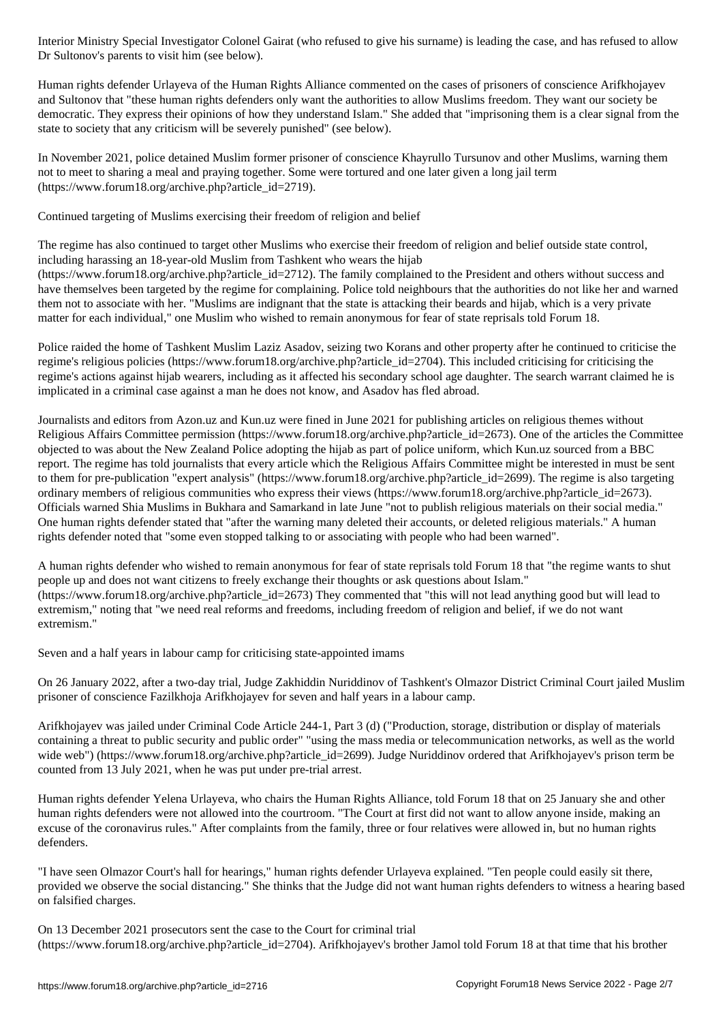Dr Sultonov's parents to visit him (see below).

Human rights defender Urlayeva of the Human Rights Alliance commented on the cases of prisoners of conscience Arifkhojayev and Sultonov that "these human rights defenders only want the authorities to allow Muslims freedom. They want our society be democratic. They express their opinions of how they understand Islam." She added that "imprisoning them is a clear signal from the state to society that any criticism will be severely punished" (see below).

In November 2021, police detained Muslim former prisoner of conscience Khayrullo Tursunov and other Muslims, warning them not to meet to sharing a meal and praying together. Some were tortured and one later given a long jail term (https://www.forum18.org/archive.php?article\_id=2719).

Continued targeting of Muslims exercising their freedom of religion and belief

The regime has also continued to target other Muslims who exercise their freedom of religion and belief outside state control, including harassing an 18-year-old Muslim from Tashkent who wears the hijab

(https://www.forum18.org/archive.php?article\_id=2712). The family complained to the President and others without success and have themselves been targeted by the regime for complaining. Police told neighbours that the authorities do not like her and warned them not to associate with her. "Muslims are indignant that the state is attacking their beards and hijab, which is a very private matter for each individual," one Muslim who wished to remain anonymous for fear of state reprisals told Forum 18.

Police raided the home of Tashkent Muslim Laziz Asadov, seizing two Korans and other property after he continued to criticise the regime's religious policies (https://www.forum18.org/archive.php?article\_id=2704). This included criticising for criticising the regime's actions against hijab wearers, including as it affected his secondary school age daughter. The search warrant claimed he is implicated in a criminal case against a man he does not know, and Asadov has fled abroad.

Journalists and editors from Azon.uz and Kun.uz were fined in June 2021 for publishing articles on religious themes without Religious Affairs Committee permission (https://www.forum18.org/archive.php?article\_id=2673). One of the articles the Committee objected to was about the New Zealand Police adopting the hijab as part of police uniform, which Kun.uz sourced from a BBC report. The regime has told journalists that every article which the Religious Affairs Committee might be interested in must be sent to them for pre-publication "expert analysis" (https://www.forum18.org/archive.php?article\_id=2699). The regime is also targeting ordinary members of religious communities who express their views (https://www.forum18.org/archive.php?article\_id=2673). Officials warned Shia Muslims in Bukhara and Samarkand in late June "not to publish religious materials on their social media." One human rights defender stated that "after the warning many deleted their accounts, or deleted religious materials." A human rights defender noted that "some even stopped talking to or associating with people who had been warned".

A human rights defender who wished to remain anonymous for fear of state reprisals told Forum 18 that "the regime wants to shut people up and does not want citizens to freely exchange their thoughts or ask questions about Islam." (https://www.forum18.org/archive.php?article\_id=2673) They commented that "this will not lead anything good but will lead to extremism," noting that "we need real reforms and freedoms, including freedom of religion and belief, if we do not want extremism."

Seven and a half years in labour camp for criticising state-appointed imams

On 26 January 2022, after a two-day trial, Judge Zakhiddin Nuriddinov of Tashkent's Olmazor District Criminal Court jailed Muslim prisoner of conscience Fazilkhoja Arifkhojayev for seven and half years in a labour camp.

Arifkhojayev was jailed under Criminal Code Article 244-1, Part 3 (d) ("Production, storage, distribution or display of materials containing a threat to public security and public order" "using the mass media or telecommunication networks, as well as the world wide web") (https://www.forum18.org/archive.php?article\_id=2699). Judge Nuriddinov ordered that Arifkhojayev's prison term be counted from 13 July 2021, when he was put under pre-trial arrest.

Human rights defender Yelena Urlayeva, who chairs the Human Rights Alliance, told Forum 18 that on 25 January she and other human rights defenders were not allowed into the courtroom. "The Court at first did not want to allow anyone inside, making an excuse of the coronavirus rules." After complaints from the family, three or four relatives were allowed in, but no human rights defenders.

"I have seen Olmazor Court's hall for hearings," human rights defender Urlayeva explained. "Ten people could easily sit there, provided we observe the social distancing." She thinks that the Judge did not want human rights defenders to witness a hearing based on falsified charges.

On 13 December 2021 prosecutors sent the case to the Court for criminal trial (https://www.forum18.org/archive.php?article\_id=2704). Arifkhojayev's brother Jamol told Forum 18 at that time that his brother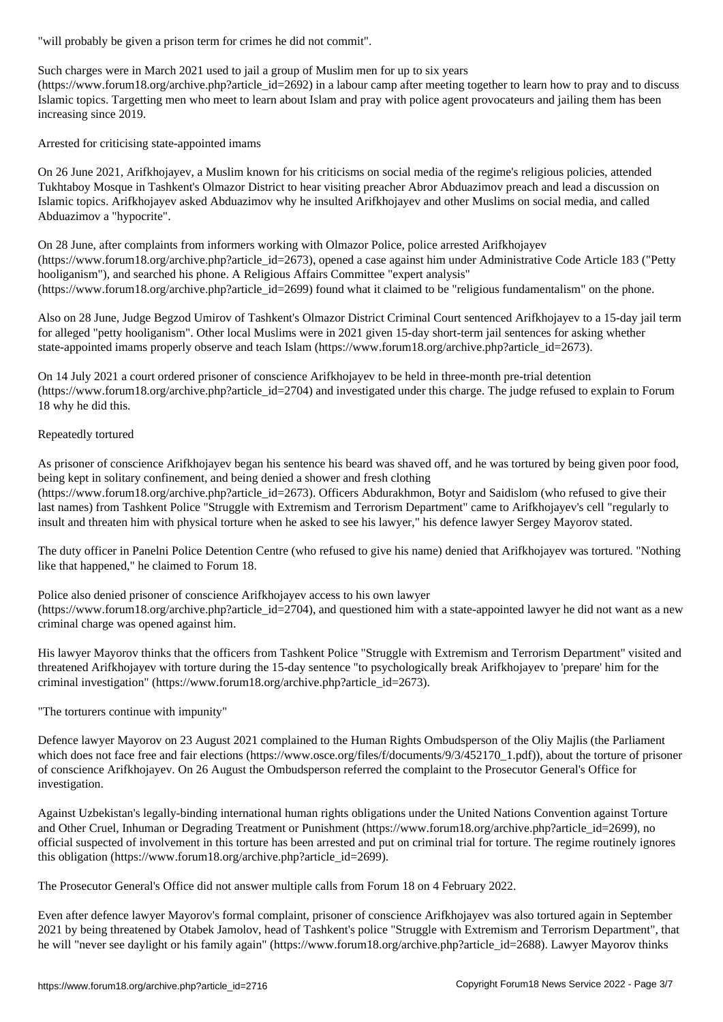Such charges were in March 2021 used to jail a group of Muslim men for up to six years

(https://www.forum18.org/archive.php?article\_id=2692) in a labour camp after meeting together to learn how to pray and to discuss Islamic topics. Targetting men who meet to learn about Islam and pray with police agent provocateurs and jailing them has been increasing since 2019.

Arrested for criticising state-appointed imams

On 26 June 2021, Arifkhojayev, a Muslim known for his criticisms on social media of the regime's religious policies, attended Tukhtaboy Mosque in Tashkent's Olmazor District to hear visiting preacher Abror Abduazimov preach and lead a discussion on Islamic topics. Arifkhojayev asked Abduazimov why he insulted Arifkhojayev and other Muslims on social media, and called Abduazimov a "hypocrite".

On 28 June, after complaints from informers working with Olmazor Police, police arrested Arifkhojayev (https://www.forum18.org/archive.php?article\_id=2673), opened a case against him under Administrative Code Article 183 ("Petty hooliganism"), and searched his phone. A Religious Affairs Committee "expert analysis" (https://www.forum18.org/archive.php?article\_id=2699) found what it claimed to be "religious fundamentalism" on the phone.

Also on 28 June, Judge Begzod Umirov of Tashkent's Olmazor District Criminal Court sentenced Arifkhojayev to a 15-day jail term for alleged "petty hooliganism". Other local Muslims were in 2021 given 15-day short-term jail sentences for asking whether state-appointed imams properly observe and teach Islam (https://www.forum18.org/archive.php?article\_id=2673).

On 14 July 2021 a court ordered prisoner of conscience Arifkhojayev to be held in three-month pre-trial detention (https://www.forum18.org/archive.php?article\_id=2704) and investigated under this charge. The judge refused to explain to Forum 18 why he did this.

## Repeatedly tortured

As prisoner of conscience Arifkhojayev began his sentence his beard was shaved off, and he was tortured by being given poor food, being kept in solitary confinement, and being denied a shower and fresh clothing

(https://www.forum18.org/archive.php?article\_id=2673). Officers Abdurakhmon, Botyr and Saidislom (who refused to give their last names) from Tashkent Police "Struggle with Extremism and Terrorism Department" came to Arifkhojayev's cell "regularly to insult and threaten him with physical torture when he asked to see his lawyer," his defence lawyer Sergey Mayorov stated.

The duty officer in Panelni Police Detention Centre (who refused to give his name) denied that Arifkhojayev was tortured. "Nothing like that happened," he claimed to Forum 18.

Police also denied prisoner of conscience Arifkhojayev access to his own lawyer  $(\text{https://www.forum18.org/archive.php?article id=2704})$ , and questioned him with a state-appointed lawyer he did not want as a new criminal charge was opened against him.

His lawyer Mayorov thinks that the officers from Tashkent Police "Struggle with Extremism and Terrorism Department" visited and threatened Arifkhojayev with torture during the 15-day sentence "to psychologically break Arifkhojayev to 'prepare' him for the criminal investigation" (https://www.forum18.org/archive.php?article\_id=2673).

"The torturers continue with impunity"

Defence lawyer Mayorov on 23 August 2021 complained to the Human Rights Ombudsperson of the Oliy Majlis (the Parliament which does not face free and fair elections (https://www.osce.org/files/f/documents/9/3/452170\_1.pdf)), about the torture of prisoner of conscience Arifkhojayev. On 26 August the Ombudsperson referred the complaint to the Prosecutor General's Office for investigation.

Against Uzbekistan's legally-binding international human rights obligations under the United Nations Convention against Torture and Other Cruel, Inhuman or Degrading Treatment or Punishment (https://www.forum18.org/archive.php?article\_id=2699), no official suspected of involvement in this torture has been arrested and put on criminal trial for torture. The regime routinely ignores this obligation (https://www.forum18.org/archive.php?article\_id=2699).

The Prosecutor General's Office did not answer multiple calls from Forum 18 on 4 February 2022.

Even after defence lawyer Mayorov's formal complaint, prisoner of conscience Arifkhojayev was also tortured again in September 2021 by being threatened by Otabek Jamolov, head of Tashkent's police "Struggle with Extremism and Terrorism Department", that he will "never see daylight or his family again" (https://www.forum18.org/archive.php?article\_id=2688). Lawyer Mayorov thinks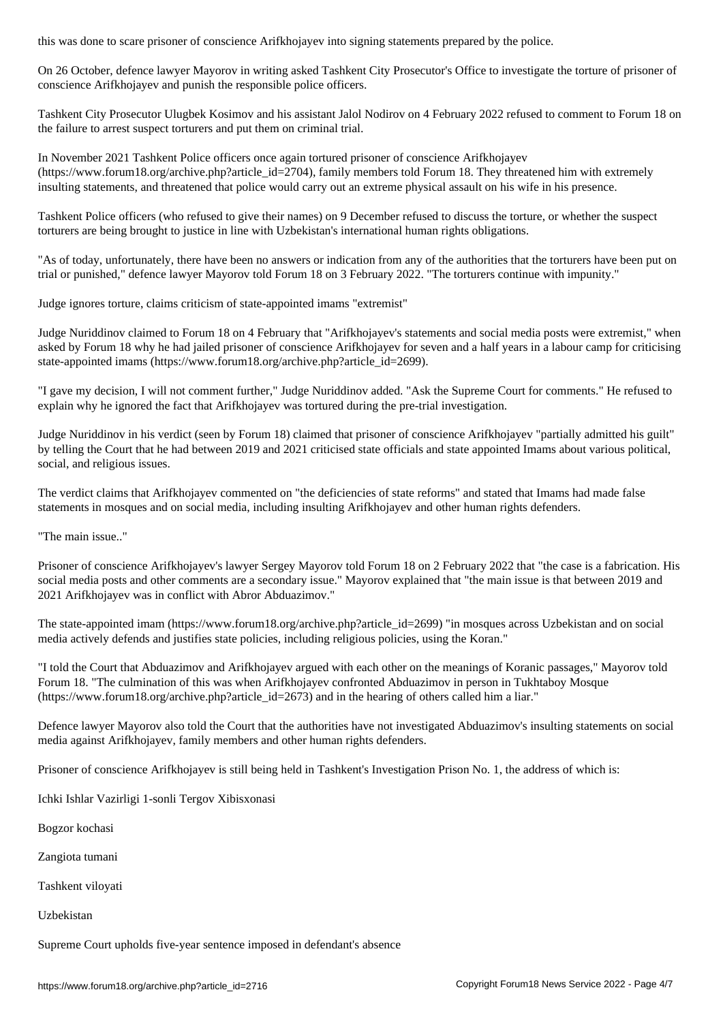On 26 October, defence lawyer Mayorov in writing asked Tashkent City Prosecutor's Office to investigate the torture of prisoner of conscience Arifkhojayev and punish the responsible police officers.

Tashkent City Prosecutor Ulugbek Kosimov and his assistant Jalol Nodirov on 4 February 2022 refused to comment to Forum 18 on the failure to arrest suspect torturers and put them on criminal trial.

In November 2021 Tashkent Police officers once again tortured prisoner of conscience Arifkhojayev (https://www.forum18.org/archive.php?article\_id=2704), family members told Forum 18. They threatened him with extremely insulting statements, and threatened that police would carry out an extreme physical assault on his wife in his presence.

Tashkent Police officers (who refused to give their names) on 9 December refused to discuss the torture, or whether the suspect torturers are being brought to justice in line with Uzbekistan's international human rights obligations.

"As of today, unfortunately, there have been no answers or indication from any of the authorities that the torturers have been put on trial or punished," defence lawyer Mayorov told Forum 18 on 3 February 2022. "The torturers continue with impunity."

Judge ignores torture, claims criticism of state-appointed imams "extremist"

Judge Nuriddinov claimed to Forum 18 on 4 February that "Arifkhojayev's statements and social media posts were extremist," when asked by Forum 18 why he had jailed prisoner of conscience Arifkhojayev for seven and a half years in a labour camp for criticising state-appointed imams (https://www.forum18.org/archive.php?article\_id=2699).

"I gave my decision, I will not comment further," Judge Nuriddinov added. "Ask the Supreme Court for comments." He refused to explain why he ignored the fact that Arifkhojayev was tortured during the pre-trial investigation.

Judge Nuriddinov in his verdict (seen by Forum 18) claimed that prisoner of conscience Arifkhojayev "partially admitted his guilt" by telling the Court that he had between 2019 and 2021 criticised state officials and state appointed Imams about various political, social, and religious issues.

The verdict claims that Arifkhojayev commented on "the deficiencies of state reforms" and stated that Imams had made false statements in mosques and on social media, including insulting Arifkhojayev and other human rights defenders.

"The main issue.."

Prisoner of conscience Arifkhojayev's lawyer Sergey Mayorov told Forum 18 on 2 February 2022 that "the case is a fabrication. His social media posts and other comments are a secondary issue." Mayorov explained that "the main issue is that between 2019 and 2021 Arifkhojayev was in conflict with Abror Abduazimov."

The state-appointed imam (https://www.forum18.org/archive.php?article\_id=2699) "in mosques across Uzbekistan and on social media actively defends and justifies state policies, including religious policies, using the Koran."

"I told the Court that Abduazimov and Arifkhojayev argued with each other on the meanings of Koranic passages," Mayorov told Forum 18. "The culmination of this was when Arifkhojayev confronted Abduazimov in person in Tukhtaboy Mosque  $(\text{https://www.forum18.org/archive.php?article id=2673})$  and in the hearing of others called him a liar."

Defence lawyer Mayorov also told the Court that the authorities have not investigated Abduazimov's insulting statements on social media against Arifkhojayev, family members and other human rights defenders.

Prisoner of conscience Arifkhojayev is still being held in Tashkent's Investigation Prison No. 1, the address of which is:

Ichki Ishlar Vazirligi 1-sonli Tergov Xibisxonasi

Bogzor kochasi

Zangiota tumani

Tashkent viloyati

Uzbekistan

Supreme Court upholds five-year sentence imposed in defendant's absence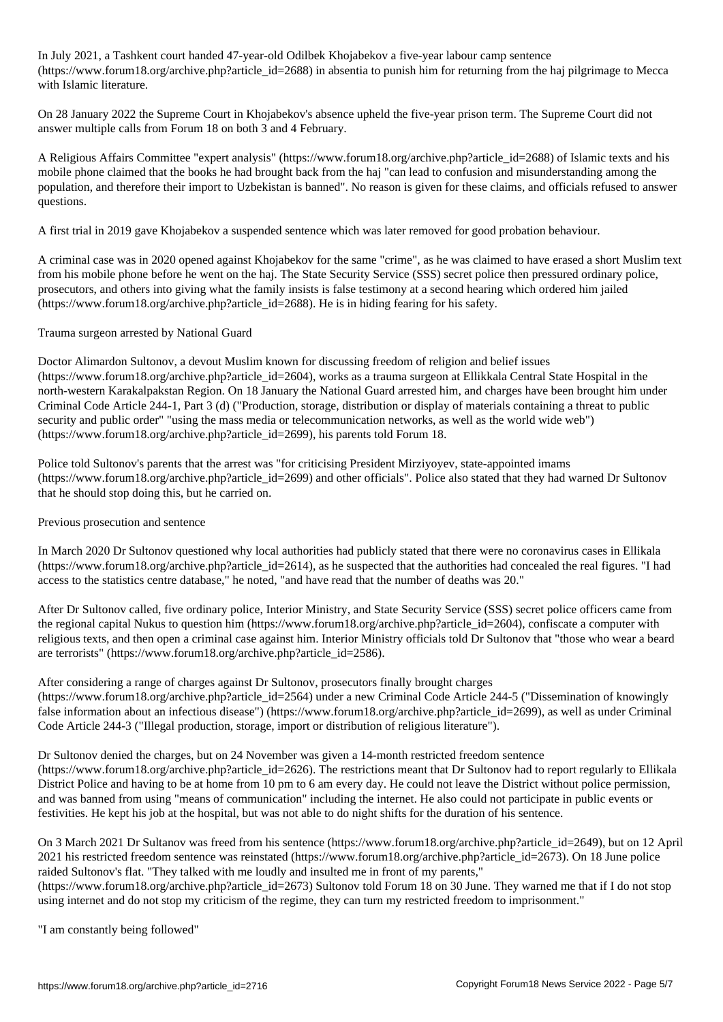In July 2021, a Tashkent court handed 47-year-old Odilbek Khojabekov a five-year labour camp sentence (https://www.forum18.org/archive.php?article\_id=2688) in absentia to punish him for returning from the haj pilgrimage to Mecca with Islamic literature.

On 28 January 2022 the Supreme Court in Khojabekov's absence upheld the five-year prison term. The Supreme Court did not answer multiple calls from Forum 18 on both 3 and 4 February.

A Religious Affairs Committee "expert analysis" (https://www.forum18.org/archive.php?article\_id=2688) of Islamic texts and his mobile phone claimed that the books he had brought back from the haj "can lead to confusion and misunderstanding among the population, and therefore their import to Uzbekistan is banned". No reason is given for these claims, and officials refused to answer questions.

A first trial in 2019 gave Khojabekov a suspended sentence which was later removed for good probation behaviour.

A criminal case was in 2020 opened against Khojabekov for the same "crime", as he was claimed to have erased a short Muslim text from his mobile phone before he went on the haj. The State Security Service (SSS) secret police then pressured ordinary police, prosecutors, and others into giving what the family insists is false testimony at a second hearing which ordered him jailed (https://www.forum18.org/archive.php?article\_id=2688). He is in hiding fearing for his safety.

Trauma surgeon arrested by National Guard

Doctor Alimardon Sultonov, a devout Muslim known for discussing freedom of religion and belief issues (https://www.forum18.org/archive.php?article\_id=2604), works as a trauma surgeon at Ellikkala Central State Hospital in the north-western Karakalpakstan Region. On 18 January the National Guard arrested him, and charges have been brought him under Criminal Code Article 244-1, Part 3 (d) ("Production, storage, distribution or display of materials containing a threat to public security and public order" "using the mass media or telecommunication networks, as well as the world wide web") (https://www.forum18.org/archive.php?article\_id=2699), his parents told Forum 18.

Police told Sultonov's parents that the arrest was "for criticising President Mirziyoyev, state-appointed imams (https://www.forum18.org/archive.php?article\_id=2699) and other officials". Police also stated that they had warned Dr Sultonov that he should stop doing this, but he carried on.

Previous prosecution and sentence

In March 2020 Dr Sultonov questioned why local authorities had publicly stated that there were no coronavirus cases in Ellikala (https://www.forum18.org/archive.php?article\_id=2614), as he suspected that the authorities had concealed the real figures. "I had access to the statistics centre database," he noted, "and have read that the number of deaths was 20."

After Dr Sultonov called, five ordinary police, Interior Ministry, and State Security Service (SSS) secret police officers came from the regional capital Nukus to question him (https://www.forum18.org/archive.php?article\_id=2604), confiscate a computer with religious texts, and then open a criminal case against him. Interior Ministry officials told Dr Sultonov that "those who wear a beard are terrorists" (https://www.forum18.org/archive.php?article\_id=2586).

After considering a range of charges against Dr Sultonov, prosecutors finally brought charges (https://www.forum18.org/archive.php?article\_id=2564) under a new Criminal Code Article 244-5 ("Dissemination of knowingly false information about an infectious disease") (https://www.forum18.org/archive.php?article\_id=2699), as well as under Criminal Code Article 244-3 ("Illegal production, storage, import or distribution of religious literature").

Dr Sultonov denied the charges, but on 24 November was given a 14-month restricted freedom sentence (https://www.forum18.org/archive.php?article\_id=2626). The restrictions meant that Dr Sultonov had to report regularly to Ellikala

District Police and having to be at home from 10 pm to 6 am every day. He could not leave the District without police permission, and was banned from using "means of communication" including the internet. He also could not participate in public events or festivities. He kept his job at the hospital, but was not able to do night shifts for the duration of his sentence.

On 3 March 2021 Dr Sultanov was freed from his sentence (https://www.forum18.org/archive.php?article\_id=2649), but on 12 April 2021 his restricted freedom sentence was reinstated (https://www.forum18.org/archive.php?article\_id=2673). On 18 June police raided Sultonov's flat. "They talked with me loudly and insulted me in front of my parents,"

(https://www.forum18.org/archive.php?article\_id=2673) Sultonov told Forum 18 on 30 June. They warned me that if I do not stop using internet and do not stop my criticism of the regime, they can turn my restricted freedom to imprisonment."

"I am constantly being followed"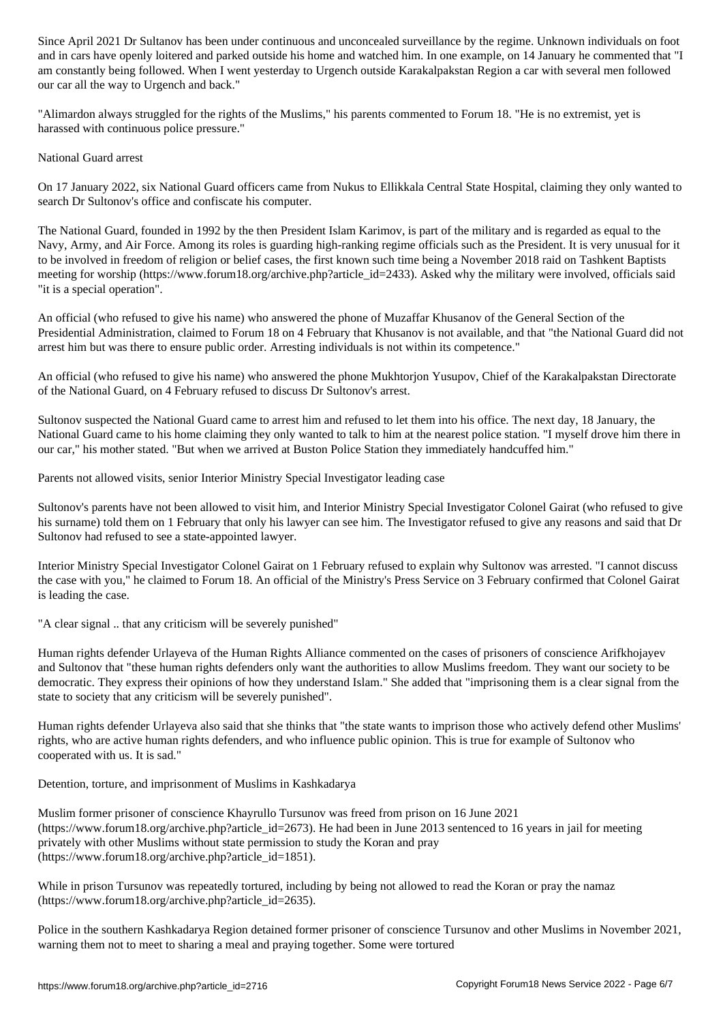and in cars have openly loitered and parked outside his home and watched him. In one example, on 14 January he commented that "I am constantly being followed. When I went yesterday to Urgench outside Karakalpakstan Region a car with several men followed our car all the way to Urgench and back."

"Alimardon always struggled for the rights of the Muslims," his parents commented to Forum 18. "He is no extremist, yet is harassed with continuous police pressure."

## National Guard arrest

On 17 January 2022, six National Guard officers came from Nukus to Ellikkala Central State Hospital, claiming they only wanted to search Dr Sultonov's office and confiscate his computer.

The National Guard, founded in 1992 by the then President Islam Karimov, is part of the military and is regarded as equal to the Navy, Army, and Air Force. Among its roles is guarding high-ranking regime officials such as the President. It is very unusual for it to be involved in freedom of religion or belief cases, the first known such time being a November 2018 raid on Tashkent Baptists meeting for worship (https://www.forum18.org/archive.php?article\_id=2433). Asked why the military were involved, officials said "it is a special operation".

An official (who refused to give his name) who answered the phone of Muzaffar Khusanov of the General Section of the Presidential Administration, claimed to Forum 18 on 4 February that Khusanov is not available, and that "the National Guard did not arrest him but was there to ensure public order. Arresting individuals is not within its competence."

An official (who refused to give his name) who answered the phone Mukhtorjon Yusupov, Chief of the Karakalpakstan Directorate of the National Guard, on 4 February refused to discuss Dr Sultonov's arrest.

Sultonov suspected the National Guard came to arrest him and refused to let them into his office. The next day, 18 January, the National Guard came to his home claiming they only wanted to talk to him at the nearest police station. "I myself drove him there in our car," his mother stated. "But when we arrived at Buston Police Station they immediately handcuffed him."

Parents not allowed visits, senior Interior Ministry Special Investigator leading case

Sultonov's parents have not been allowed to visit him, and Interior Ministry Special Investigator Colonel Gairat (who refused to give his surname) told them on 1 February that only his lawyer can see him. The Investigator refused to give any reasons and said that Dr Sultonov had refused to see a state-appointed lawyer.

Interior Ministry Special Investigator Colonel Gairat on 1 February refused to explain why Sultonov was arrested. "I cannot discuss the case with you," he claimed to Forum 18. An official of the Ministry's Press Service on 3 February confirmed that Colonel Gairat is leading the case.

"A clear signal .. that any criticism will be severely punished"

Human rights defender Urlayeva of the Human Rights Alliance commented on the cases of prisoners of conscience Arifkhojayev and Sultonov that "these human rights defenders only want the authorities to allow Muslims freedom. They want our society to be democratic. They express their opinions of how they understand Islam." She added that "imprisoning them is a clear signal from the state to society that any criticism will be severely punished".

Human rights defender Urlayeva also said that she thinks that "the state wants to imprison those who actively defend other Muslims' rights, who are active human rights defenders, and who influence public opinion. This is true for example of Sultonov who cooperated with us. It is sad."

Detention, torture, and imprisonment of Muslims in Kashkadarya

Muslim former prisoner of conscience Khayrullo Tursunov was freed from prison on 16 June 2021 (https://www.forum18.org/archive.php?article\_id=2673). He had been in June 2013 sentenced to 16 years in jail for meeting privately with other Muslims without state permission to study the Koran and pray (https://www.forum18.org/archive.php?article\_id=1851).

While in prison Tursunov was repeatedly tortured, including by being not allowed to read the Koran or pray the namaz (https://www.forum18.org/archive.php?article\_id=2635).

Police in the southern Kashkadarya Region detained former prisoner of conscience Tursunov and other Muslims in November 2021, warning them not to meet to sharing a meal and praying together. Some were tortured